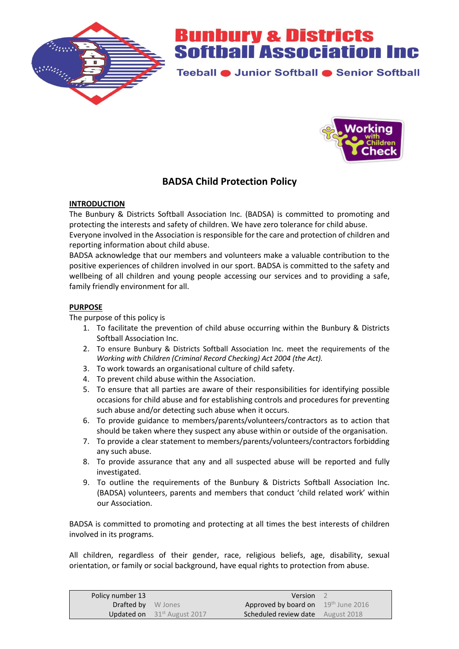

Teeball · Junior Softball · Senior Softball



### **BADSA Child Protection Policy**

#### **INTRODUCTION**

The Bunbury & Districts Softball Association Inc. (BADSA) is committed to promoting and protecting the interests and safety of children. We have zero tolerance for child abuse.

Everyone involved in the Association is responsible for the care and protection of children and reporting information about child abuse.

BADSA acknowledge that our members and volunteers make a valuable contribution to the positive experiences of children involved in our sport. BADSA is committed to the safety and wellbeing of all children and young people accessing our services and to providing a safe, family friendly environment for all.

#### **PURPOSE**

The purpose of this policy is

- 1. To facilitate the prevention of child abuse occurring within the Bunbury & Districts Softball Association Inc.
- 2. To ensure Bunbury & Districts Softball Association Inc. meet the requirements of the *Working with Children (Criminal Record Checking) Act 2004 (the Act).*
- 3. To work towards an organisational culture of child safety.
- 4. To prevent child abuse within the Association.
- 5. To ensure that all parties are aware of their responsibilities for identifying possible occasions for child abuse and for establishing controls and procedures for preventing such abuse and/or detecting such abuse when it occurs.
- 6. To provide guidance to members/parents/volunteers/contractors as to action that should be taken where they suspect any abuse within or outside of the organisation.
- 7. To provide a clear statement to members/parents/volunteers/contractors forbidding any such abuse.
- 8. To provide assurance that any and all suspected abuse will be reported and fully investigated.
- 9. To outline the requirements of the Bunbury & Districts Softball Association Inc. (BADSA) volunteers, parents and members that conduct 'child related work' within our Association.

BADSA is committed to promoting and protecting at all times the best interests of children involved in its programs.

All children, regardless of their gender, race, religious beliefs, age, disability, sexual orientation, or family or social background, have equal rights to protection from abuse.

| Policy number 13          |                                         | <b>Version</b>                           |  |
|---------------------------|-----------------------------------------|------------------------------------------|--|
| <b>Drafted by</b> W Jones |                                         | Approved by board on 19th June 2016      |  |
|                           | <b>Updated on</b> $31^{st}$ August 2017 | <b>Scheduled review date</b> August 2018 |  |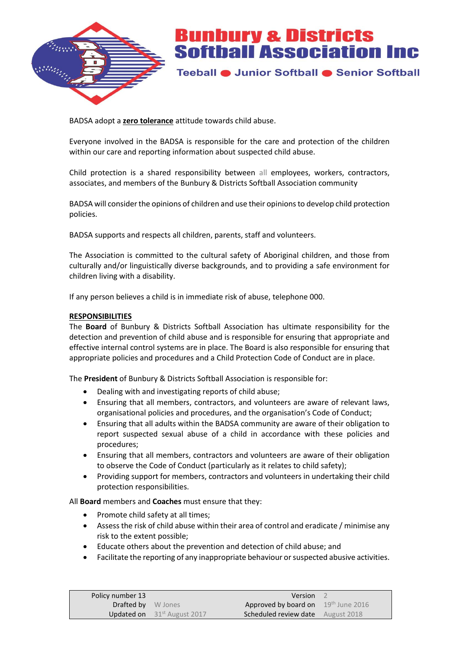

Teeball · Junior Softball · Senior Softball

BADSA adopt a **zero tolerance** attitude towards child abuse.

Everyone involved in the BADSA is responsible for the care and protection of the children within our care and reporting information about suspected child abuse.

Child protection is a shared responsibility between all employees, workers, contractors, associates, and members of the Bunbury & Districts Softball Association community

BADSA will consider the opinions of children and use their opinions to develop child protection policies.

BADSA supports and respects all children, parents, staff and volunteers.

The Association is committed to the cultural safety of Aboriginal children, and those from culturally and/or linguistically diverse backgrounds, and to providing a safe environment for children living with a disability.

If any person believes a child is in immediate risk of abuse, telephone 000.

#### **RESPONSIBILITIES**

The **Board** of Bunbury & Districts Softball Association has ultimate responsibility for the detection and prevention of child abuse and is responsible for ensuring that appropriate and effective internal control systems are in place. The Board is also responsible for ensuring that appropriate policies and procedures and a Child Protection Code of Conduct are in place.

The **President** of Bunbury & Districts Softball Association is responsible for:

- Dealing with and investigating reports of child abuse;
- Ensuring that all members, contractors, and volunteers are aware of relevant laws, organisational policies and procedures, and the organisation's Code of Conduct;
- Ensuring that all adults within the BADSA community are aware of their obligation to report suspected sexual abuse of a child in accordance with these policies and procedures;
- Ensuring that all members, contractors and volunteers are aware of their obligation to observe the Code of Conduct (particularly as it relates to child safety);
- Providing support for members, contractors and volunteers in undertaking their child protection responsibilities.

All **Board** members and **Coaches** must ensure that they:

- Promote child safety at all times;
- Assess the risk of child abuse within their area of control and eradicate / minimise any risk to the extent possible;
- Educate others about the prevention and detection of child abuse; and
- Facilitate the reporting of any inappropriate behaviour or suspected abusive activities.

| Policy number 13          |                                         | Version                                  |  |
|---------------------------|-----------------------------------------|------------------------------------------|--|
| <b>Drafted by</b> W Jones |                                         | Approved by board on 19th June 2016      |  |
|                           | <b>Updated on</b> $31^{st}$ August 2017 | <b>Scheduled review date</b> August 2018 |  |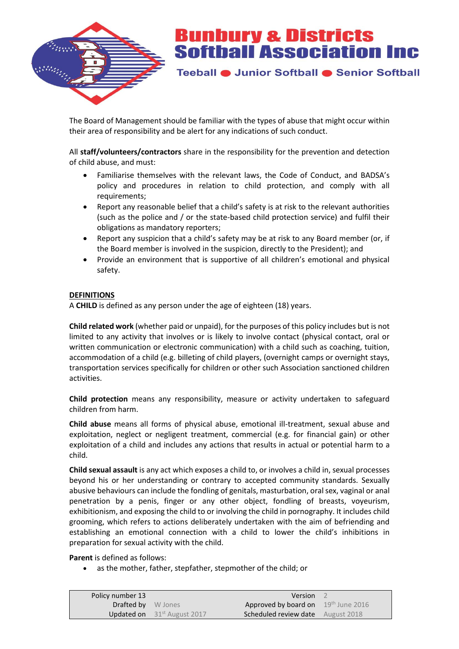

Teeball · Junior Softball · Senior Softball

The Board of Management should be familiar with the types of abuse that might occur within their area of responsibility and be alert for any indications of such conduct.

All **staff/volunteers/contractors** share in the responsibility for the prevention and detection of child abuse, and must:

- Familiarise themselves with the relevant laws, the Code of Conduct, and BADSA's policy and procedures in relation to child protection, and comply with all requirements;
- Report any reasonable belief that a child's safety is at risk to the relevant authorities (such as the police and / or the state-based child protection service) and fulfil their obligations as mandatory reporters;
- Report any suspicion that a child's safety may be at risk to any Board member (or, if the Board member is involved in the suspicion, directly to the President); and
- Provide an environment that is supportive of all children's emotional and physical safety.

#### **DEFINITIONS**

A **CHILD** is defined as any person under the age of eighteen (18) years.

**Child related work** (whether paid or unpaid), for the purposes of this policy includes but is not limited to any activity that involves or is likely to involve contact (physical contact, oral or written communication or electronic communication) with a child such as coaching, tuition, accommodation of a child (e.g. billeting of child players, (overnight camps or overnight stays, transportation services specifically for children or other such Association sanctioned children activities.

**Child protection** means any responsibility, measure or activity undertaken to safeguard children from harm.

**Child abuse** means all forms of physical abuse, emotional ill-treatment, sexual abuse and exploitation, neglect or negligent treatment, commercial (e.g. for financial gain) or other exploitation of a child and includes any actions that results in actual or potential harm to a child.

**Child sexual assault** is any act which exposes a child to, or involves a child in, sexual processes beyond his or her understanding or contrary to accepted community standards. Sexually abusive behaviours can include the fondling of genitals, masturbation, oral sex, vaginal or anal penetration by a penis, finger or any other object, fondling of breasts, voyeurism, exhibitionism, and exposing the child to or involving the child in pornography. It includes child grooming, which refers to actions deliberately undertaken with the aim of befriending and establishing an emotional connection with a child to lower the child's inhibitions in preparation for sexual activity with the child.

**Parent** is defined as follows:

as the mother, father, stepfather, stepmother of the child; or

| Policy number 13          |                                      | Version                                  |  |
|---------------------------|--------------------------------------|------------------------------------------|--|
| <b>Drafted by</b> W Jones |                                      | Approved by board on 19th June 2016      |  |
|                           | <b>Updated on</b> $31st$ August 2017 | <b>Scheduled review date</b> August 2018 |  |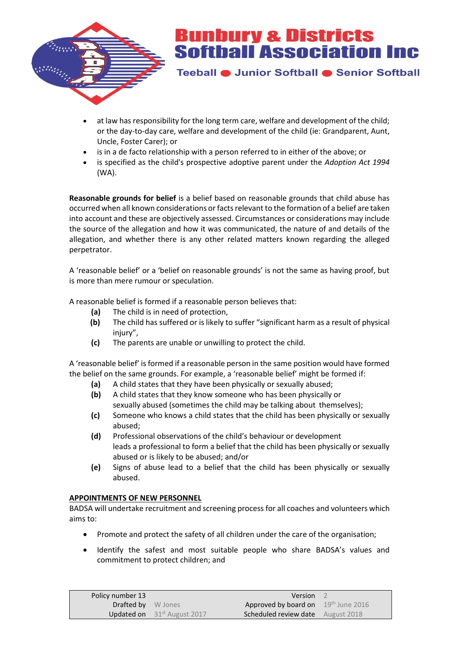

Teeball · Junior Softball · Senior Softball

- at law has responsibility for the long term care, welfare and development of the child; or the day-to-day care, welfare and development of the child (ie: Grandparent, Aunt, Uncle, Foster Carer); or
- is in a de facto relationship with a person referred to in either of the above; or
- is specified as the child's prospective adoptive parent under the *Adoption Act 1994*  (WA).

**Reasonable grounds for belief** is a belief based on reasonable grounds that child abuse has occurred when all known considerations or facts relevant to the formation of a belief are taken into account and these are objectively assessed. Circumstances or considerations may include the source of the allegation and how it was communicated, the nature of and details of the allegation, and whether there is any other related matters known regarding the alleged perpetrator.

A 'reasonable belief' or a 'belief on reasonable grounds' is not the same as having proof, but is more than mere rumour or speculation.

A reasonable belief is formed if a reasonable person believes that:

- **(a)** The child is in need of protection,
- **(b)** The child has suffered or is likely to suffer "significant harm as a result of physical injury",
- **(c)** The parents are unable or unwilling to protect the child.

A 'reasonable belief' is formed if a reasonable person in the same position would have formed the belief on the same grounds. For example, a 'reasonable belief' might be formed if:

- **(a)** A child states that they have been physically or sexually abused;
- **(b)** A child states that they know someone who has been physically or sexually abused (sometimes the child may be talking about themselves);
- **(c)** Someone who knows a child states that the child has been physically or sexually abused;
- **(d)** Professional observations of the child's behaviour or development leads a professional to form a belief that the child has been physically or sexually abused or is likely to be abused; and/or
- **(e)** Signs of abuse lead to a belief that the child has been physically or sexually abused.

#### **APPOINTMENTS OF NEW PERSONNEL**

BADSA will undertake recruitment and screening process for all coaches and volunteers which aims to:

- Promote and protect the safety of all children under the care of the organisation;
- Identify the safest and most suitable people who share BADSA's values and commitment to protect children; and

| Policy number 13          |                                         | Version <sub>2</sub>                     |  |
|---------------------------|-----------------------------------------|------------------------------------------|--|
| <b>Drafted by</b> W Jones |                                         | Approved by board on 19th June 2016      |  |
|                           | <b>Updated on</b> $31^{st}$ August 2017 | <b>Scheduled review date</b> August 2018 |  |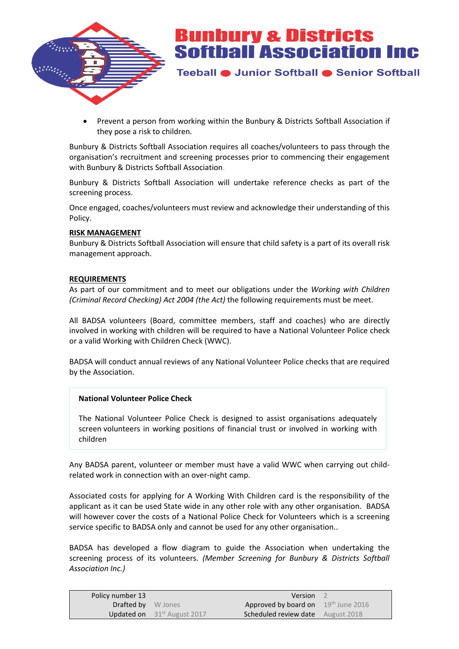

Teeball · Junior Softball · Senior Softball

 Prevent a person from working within the Bunbury & Districts Softball Association if they pose a risk to children.

Bunbury & Districts Softball Association requires all coaches/volunteers to pass through the organisation's recruitment and screening processes prior to commencing their engagement with Bunbury & Districts Softball Association.

Bunbury & Districts Softball Association will undertake reference checks as part of the screening process.

Once engaged, coaches/volunteers must review and acknowledge their understanding of this Policy.

#### **RISK MANAGEMENT**

Bunbury & Districts Softball Association will ensure that child safety is a part of its overall risk management approach.

#### **REQUIREMENTS**

As part of our commitment and to meet our obligations under the *Working with Children (Criminal Record Checking) Act 2004 (the Act)* the following requirements must be meet.

All BADSA volunteers (Board, committee members, staff and coaches) who are directly involved in working with children will be required to have a National Volunteer Police check or a valid Working with Children Check (WWC).

BADSA will conduct annual reviews of any National Volunteer Police checks that are required by the Association.

#### **National Volunteer Police Check**

The National Volunteer Police Check is designed to assist organisations adequately screen volunteers in working positions of financial trust or involved in working with children

Any BADSA parent, volunteer or member must have a valid WWC when carrying out childrelated work in connection with an over-night camp.

Associated costs for applying for A Working With Children card is the responsibility of the applicant as it can be used State wide in any other role with any other organisation. BADSA will however cover the costs of a National Police Check for Volunteers which is a screening service specific to BADSA only and cannot be used for any other organisation..

BADSA has developed a flow diagram to guide the Association when undertaking the screening process of its volunteers. *(Member Screening for Bunbury & Districts Softball Association Inc.)*

| Policy number 13          |                                         | <b>Version</b> 2                         |  |
|---------------------------|-----------------------------------------|------------------------------------------|--|
| <b>Drafted by</b> W Jones |                                         | Approved by board on 19th June 2016      |  |
|                           | <b>Updated on</b> $31^{st}$ August 2017 | <b>Scheduled review date</b> August 2018 |  |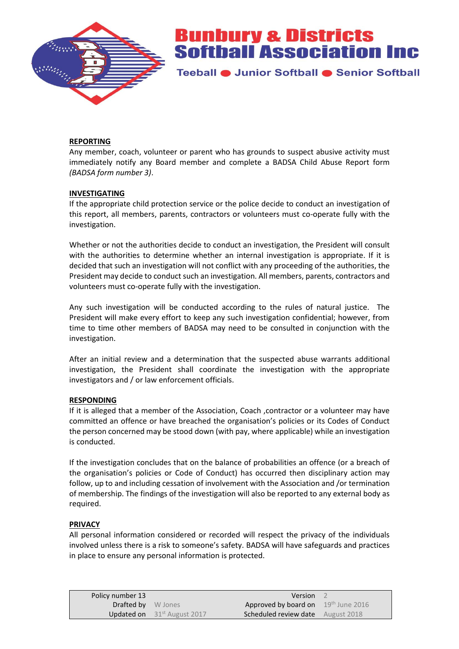

Teeball ● Junior Softball ● Senior Softball

#### **REPORTING**

Any member, coach, volunteer or parent who has grounds to suspect abusive activity must immediately notify any Board member and complete a BADSA Child Abuse Report form *(BADSA form number 3)*.

#### **INVESTIGATING**

If the appropriate child protection service or the police decide to conduct an investigation of this report, all members, parents, contractors or volunteers must co-operate fully with the investigation.

Whether or not the authorities decide to conduct an investigation, the President will consult with the authorities to determine whether an internal investigation is appropriate. If it is decided that such an investigation will not conflict with any proceeding of the authorities, the President may decide to conduct such an investigation. All members, parents, contractors and volunteers must co-operate fully with the investigation.

Any such investigation will be conducted according to the rules of natural justice. The President will make every effort to keep any such investigation confidential; however, from time to time other members of BADSA may need to be consulted in conjunction with the investigation.

After an initial review and a determination that the suspected abuse warrants additional investigation, the President shall coordinate the investigation with the appropriate investigators and / or law enforcement officials.

#### **RESPONDING**

If it is alleged that a member of the Association, Coach ,contractor or a volunteer may have committed an offence or have breached the organisation's policies or its Codes of Conduct the person concerned may be stood down (with pay, where applicable) while an investigation is conducted.

If the investigation concludes that on the balance of probabilities an offence (or a breach of the organisation's policies or Code of Conduct) has occurred then disciplinary action may follow, up to and including cessation of involvement with the Association and /or termination of membership. The findings of the investigation will also be reported to any external body as required.

#### **PRIVACY**

All personal information considered or recorded will respect the privacy of the individuals involved unless there is a risk to someone's safety. BADSA will have safeguards and practices in place to ensure any personal information is protected.

| Policy number 13          |                                         | <b>Version</b> 2                         |  |
|---------------------------|-----------------------------------------|------------------------------------------|--|
| <b>Drafted by</b> W Jones |                                         | Approved by board on 19th June 2016      |  |
|                           | <b>Updated on</b> $31^{st}$ August 2017 | <b>Scheduled review date</b> August 2018 |  |